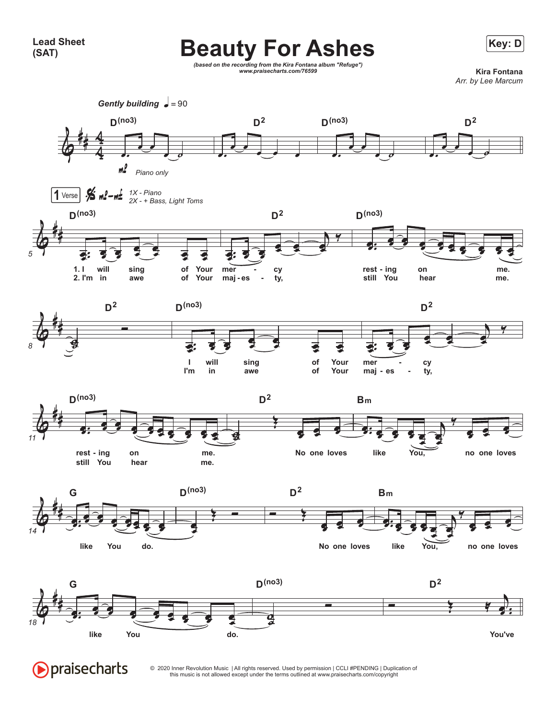**Lead Sheet (SAT)**



**Beauty For Ashes** Exercise

© 2020 Inner Revolution Music | All rights reserved. Used by permission | CCLI #PENDING | Duplication of this music is not allowed except under the terms outlined at www.praisecharts.com/copyright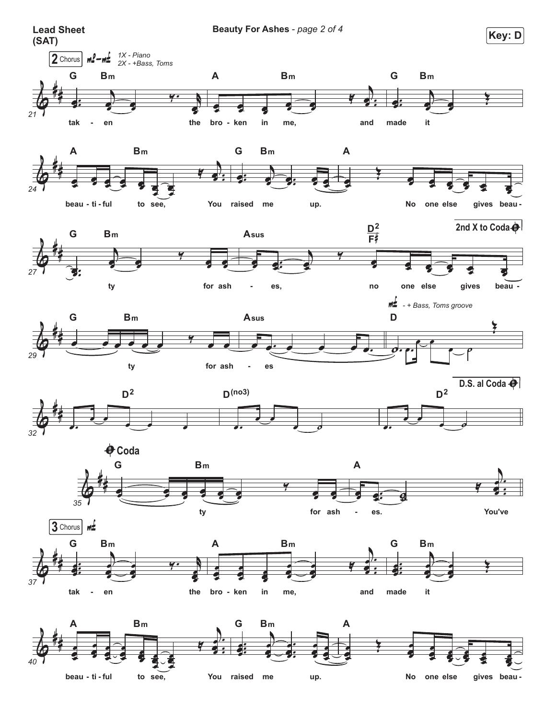

You raised me up. No one else

beau - ti - ful

to see,

gives beau-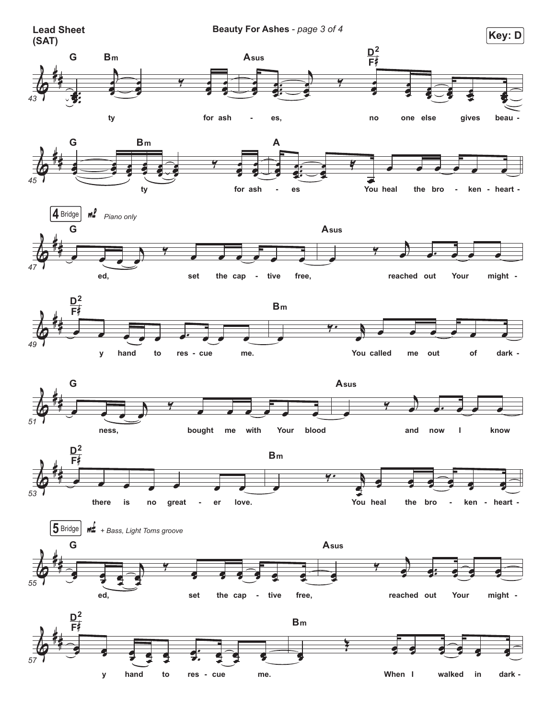